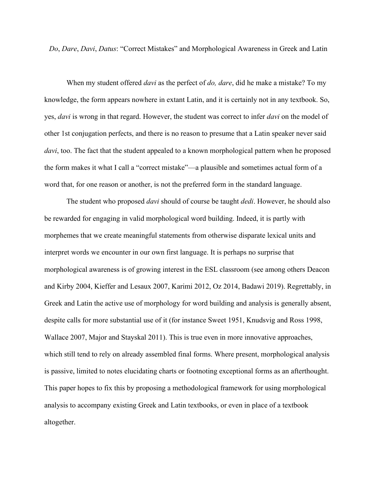*Do*, *Dare*, *Davi*, *Datus*: "Correct Mistakes" and Morphological Awareness in Greek and Latin

When my student offered *davi* as the perfect of *do, dare*, did he make a mistake? To my knowledge, the form appears nowhere in extant Latin, and it is certainly not in any textbook. So, yes, *davi* is wrong in that regard. However, the student was correct to infer *davi* on the model of other 1st conjugation perfects, and there is no reason to presume that a Latin speaker never said *davi*, too. The fact that the student appealed to a known morphological pattern when he proposed the form makes it what I call a "correct mistake"—a plausible and sometimes actual form of a word that, for one reason or another, is not the preferred form in the standard language.

The student who proposed *davi* should of course be taught *dedi*. However, he should also be rewarded for engaging in valid morphological word building. Indeed, it is partly with morphemes that we create meaningful statements from otherwise disparate lexical units and interpret words we encounter in our own first language. It is perhaps no surprise that morphological awareness is of growing interest in the ESL classroom (see among others Deacon and Kirby 2004, Kieffer and Lesaux 2007, Karimi 2012, Oz 2014, Badawi 2019). Regrettably, in Greek and Latin the active use of morphology for word building and analysis is generally absent, despite calls for more substantial use of it (for instance Sweet 1951, Knudsvig and Ross 1998, Wallace 2007, Major and Stayskal 2011). This is true even in more innovative approaches, which still tend to rely on already assembled final forms. Where present, morphological analysis is passive, limited to notes elucidating charts or footnoting exceptional forms as an afterthought. This paper hopes to fix this by proposing a methodological framework for using morphological analysis to accompany existing Greek and Latin textbooks, or even in place of a textbook altogether.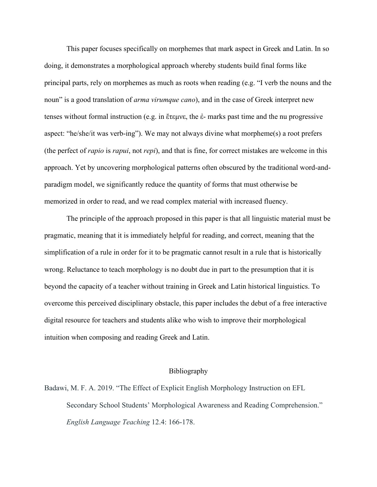This paper focuses specifically on morphemes that mark aspect in Greek and Latin. In so doing, it demonstrates a morphological approach whereby students build final forms like principal parts, rely on morphemes as much as roots when reading (e.g. "I verb the nouns and the noun" is a good translation of *arma virumque cano*), and in the case of Greek interpret new tenses without formal instruction (e.g. in ἔτεμνε, the ἐ- marks past time and the nu progressive aspect: "he/she/it was verb-ing"). We may not always divine what morpheme(s) a root prefers (the perfect of *rapio* is *rapui*, not *repi*), and that is fine, for correct mistakes are welcome in this approach. Yet by uncovering morphological patterns often obscured by the traditional word-andparadigm model, we significantly reduce the quantity of forms that must otherwise be memorized in order to read, and we read complex material with increased fluency.

The principle of the approach proposed in this paper is that all linguistic material must be pragmatic, meaning that it is immediately helpful for reading, and correct, meaning that the simplification of a rule in order for it to be pragmatic cannot result in a rule that is historically wrong. Reluctance to teach morphology is no doubt due in part to the presumption that it is beyond the capacity of a teacher without training in Greek and Latin historical linguistics. To overcome this perceived disciplinary obstacle, this paper includes the debut of a free interactive digital resource for teachers and students alike who wish to improve their morphological intuition when composing and reading Greek and Latin.

## Bibliography

Badawi, M. F. A. 2019. "The Effect of Explicit English Morphology Instruction on EFL Secondary School Students' Morphological Awareness and Reading Comprehension." *English Language Teaching* 12.4: 166-178.